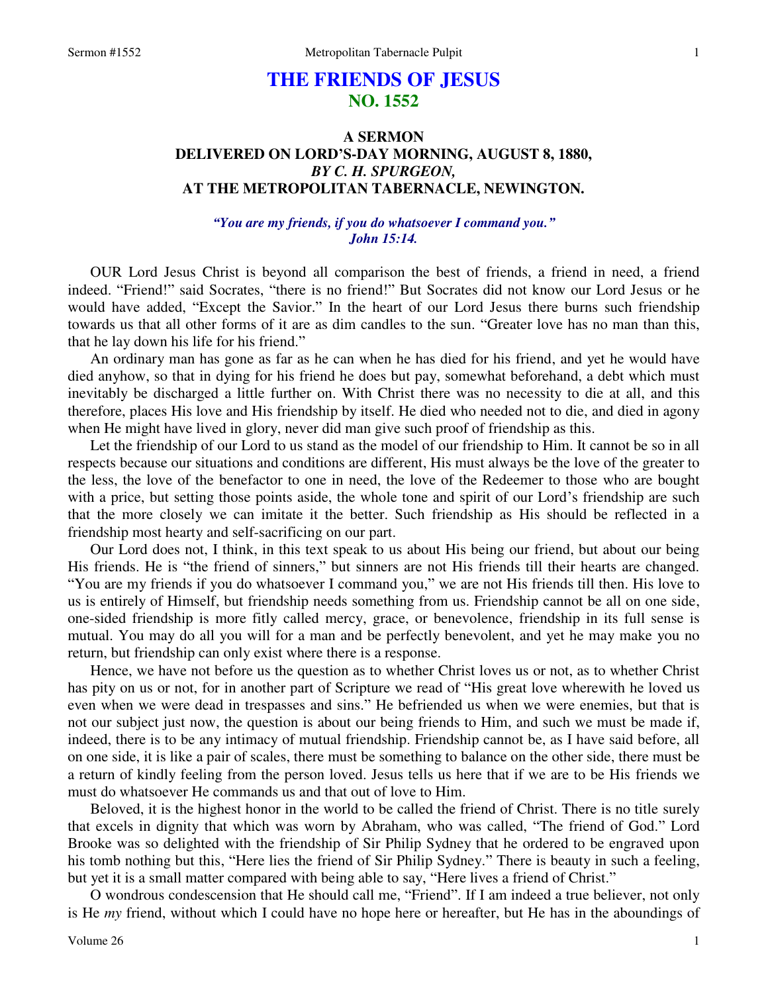# **THE FRIENDS OF JESUS NO. 1552**

# **A SERMON DELIVERED ON LORD'S-DAY MORNING, AUGUST 8, 1880,**  *BY C. H. SPURGEON,*  **AT THE METROPOLITAN TABERNACLE, NEWINGTON.**

## *"You are my friends, if you do whatsoever I command you." John 15:14.*

OUR Lord Jesus Christ is beyond all comparison the best of friends, a friend in need, a friend indeed. "Friend!" said Socrates, "there is no friend!" But Socrates did not know our Lord Jesus or he would have added, "Except the Savior." In the heart of our Lord Jesus there burns such friendship towards us that all other forms of it are as dim candles to the sun. "Greater love has no man than this, that he lay down his life for his friend."

 An ordinary man has gone as far as he can when he has died for his friend, and yet he would have died anyhow, so that in dying for his friend he does but pay, somewhat beforehand, a debt which must inevitably be discharged a little further on. With Christ there was no necessity to die at all, and this therefore, places His love and His friendship by itself. He died who needed not to die, and died in agony when He might have lived in glory, never did man give such proof of friendship as this.

 Let the friendship of our Lord to us stand as the model of our friendship to Him. It cannot be so in all respects because our situations and conditions are different, His must always be the love of the greater to the less, the love of the benefactor to one in need, the love of the Redeemer to those who are bought with a price, but setting those points aside, the whole tone and spirit of our Lord's friendship are such that the more closely we can imitate it the better. Such friendship as His should be reflected in a friendship most hearty and self-sacrificing on our part.

 Our Lord does not, I think, in this text speak to us about His being our friend, but about our being His friends. He is "the friend of sinners," but sinners are not His friends till their hearts are changed. "You are my friends if you do whatsoever I command you," we are not His friends till then. His love to us is entirely of Himself, but friendship needs something from us. Friendship cannot be all on one side, one-sided friendship is more fitly called mercy, grace, or benevolence, friendship in its full sense is mutual. You may do all you will for a man and be perfectly benevolent, and yet he may make you no return, but friendship can only exist where there is a response.

 Hence, we have not before us the question as to whether Christ loves us or not, as to whether Christ has pity on us or not, for in another part of Scripture we read of "His great love wherewith he loved us even when we were dead in trespasses and sins." He befriended us when we were enemies, but that is not our subject just now, the question is about our being friends to Him, and such we must be made if, indeed, there is to be any intimacy of mutual friendship. Friendship cannot be, as I have said before, all on one side, it is like a pair of scales, there must be something to balance on the other side, there must be a return of kindly feeling from the person loved. Jesus tells us here that if we are to be His friends we must do whatsoever He commands us and that out of love to Him.

 Beloved, it is the highest honor in the world to be called the friend of Christ. There is no title surely that excels in dignity that which was worn by Abraham, who was called, "The friend of God." Lord Brooke was so delighted with the friendship of Sir Philip Sydney that he ordered to be engraved upon his tomb nothing but this, "Here lies the friend of Sir Philip Sydney." There is beauty in such a feeling, but yet it is a small matter compared with being able to say, "Here lives a friend of Christ."

 O wondrous condescension that He should call me, "Friend". If I am indeed a true believer, not only is He *my* friend, without which I could have no hope here or hereafter, but He has in the aboundings of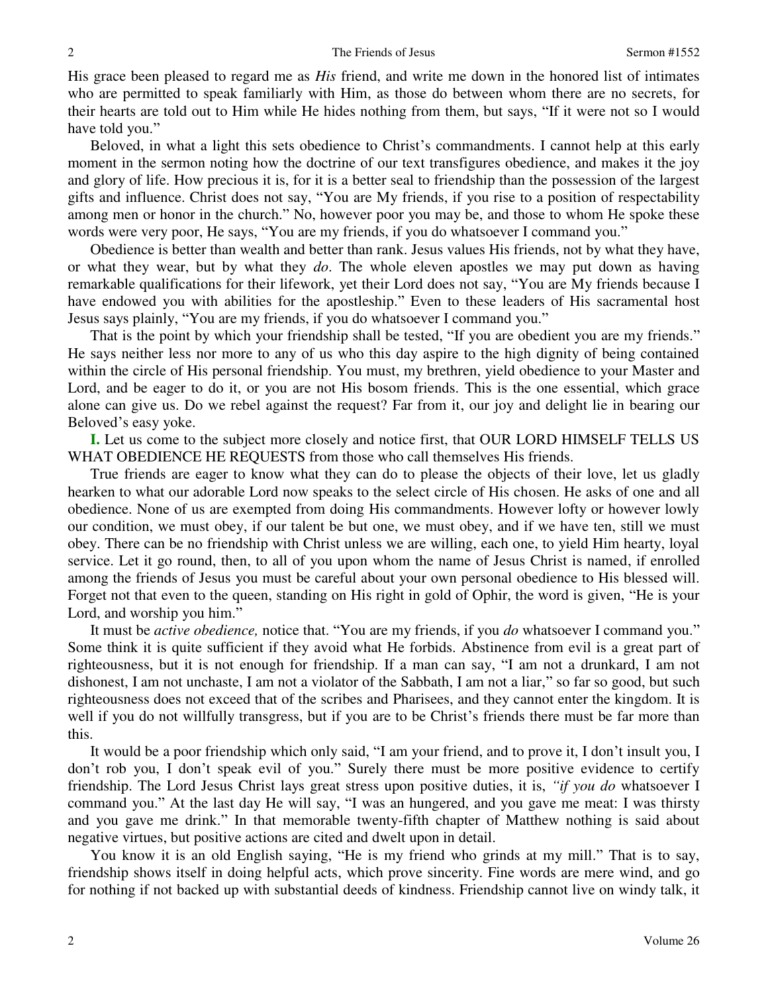His grace been pleased to regard me as *His* friend, and write me down in the honored list of intimates who are permitted to speak familiarly with Him, as those do between whom there are no secrets, for their hearts are told out to Him while He hides nothing from them, but says, "If it were not so I would have told you."

 Beloved, in what a light this sets obedience to Christ's commandments. I cannot help at this early moment in the sermon noting how the doctrine of our text transfigures obedience, and makes it the joy and glory of life. How precious it is, for it is a better seal to friendship than the possession of the largest gifts and influence. Christ does not say, "You are My friends, if you rise to a position of respectability among men or honor in the church." No, however poor you may be, and those to whom He spoke these words were very poor, He says, "You are my friends, if you do whatsoever I command you."

 Obedience is better than wealth and better than rank. Jesus values His friends, not by what they have, or what they wear, but by what they *do*. The whole eleven apostles we may put down as having remarkable qualifications for their lifework, yet their Lord does not say, "You are My friends because I have endowed you with abilities for the apostleship." Even to these leaders of His sacramental host Jesus says plainly, "You are my friends, if you do whatsoever I command you."

That is the point by which your friendship shall be tested, "If you are obedient you are my friends." He says neither less nor more to any of us who this day aspire to the high dignity of being contained within the circle of His personal friendship. You must, my brethren, yield obedience to your Master and Lord, and be eager to do it, or you are not His bosom friends. This is the one essential, which grace alone can give us. Do we rebel against the request? Far from it, our joy and delight lie in bearing our Beloved's easy yoke.

**I.** Let us come to the subject more closely and notice first, that OUR LORD HIMSELF TELLS US WHAT OBEDIENCE HE REQUESTS from those who call themselves His friends.

 True friends are eager to know what they can do to please the objects of their love, let us gladly hearken to what our adorable Lord now speaks to the select circle of His chosen. He asks of one and all obedience. None of us are exempted from doing His commandments. However lofty or however lowly our condition, we must obey, if our talent be but one, we must obey, and if we have ten, still we must obey. There can be no friendship with Christ unless we are willing, each one, to yield Him hearty, loyal service. Let it go round, then, to all of you upon whom the name of Jesus Christ is named, if enrolled among the friends of Jesus you must be careful about your own personal obedience to His blessed will. Forget not that even to the queen, standing on His right in gold of Ophir, the word is given, "He is your Lord, and worship you him."

 It must be *active obedience,* notice that. "You are my friends, if you *do* whatsoever I command you." Some think it is quite sufficient if they avoid what He forbids. Abstinence from evil is a great part of righteousness, but it is not enough for friendship. If a man can say, "I am not a drunkard, I am not dishonest, I am not unchaste, I am not a violator of the Sabbath, I am not a liar," so far so good, but such righteousness does not exceed that of the scribes and Pharisees, and they cannot enter the kingdom. It is well if you do not willfully transgress, but if you are to be Christ's friends there must be far more than this.

 It would be a poor friendship which only said, "I am your friend, and to prove it, I don't insult you, I don't rob you, I don't speak evil of you." Surely there must be more positive evidence to certify friendship. The Lord Jesus Christ lays great stress upon positive duties, it is, *"if you do* whatsoever I command you." At the last day He will say, "I was an hungered, and you gave me meat: I was thirsty and you gave me drink." In that memorable twenty-fifth chapter of Matthew nothing is said about negative virtues, but positive actions are cited and dwelt upon in detail.

 You know it is an old English saying, "He is my friend who grinds at my mill." That is to say, friendship shows itself in doing helpful acts, which prove sincerity. Fine words are mere wind, and go for nothing if not backed up with substantial deeds of kindness. Friendship cannot live on windy talk, it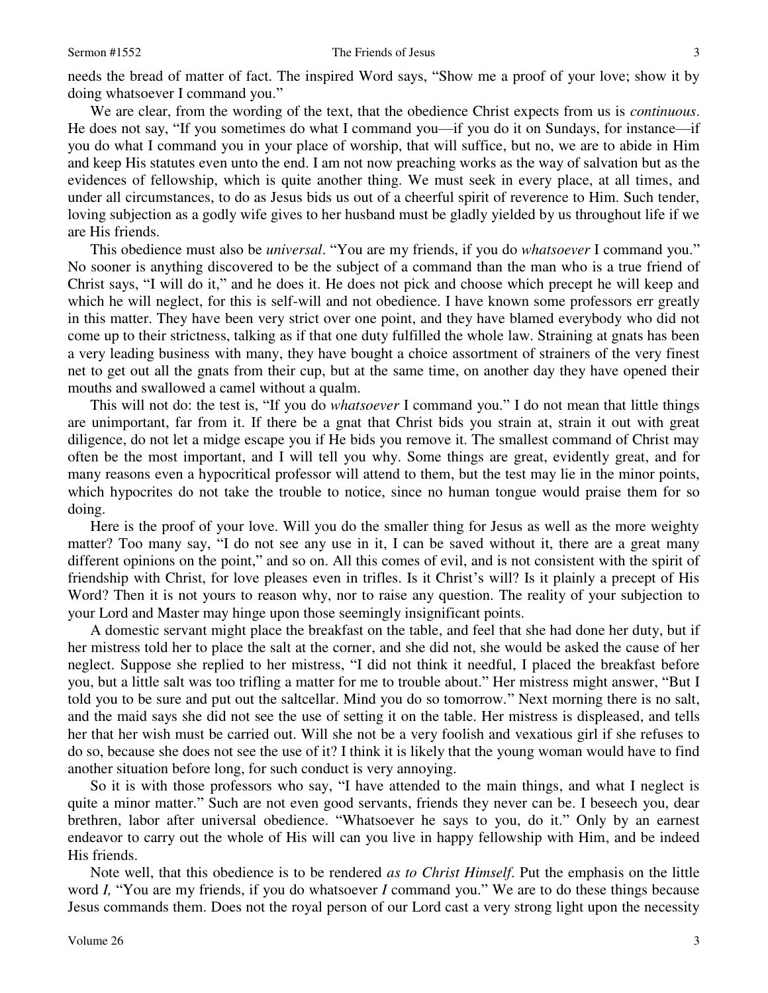needs the bread of matter of fact. The inspired Word says, "Show me a proof of your love; show it by doing whatsoever I command you."

 We are clear, from the wording of the text, that the obedience Christ expects from us is *continuous*. He does not say, "If you sometimes do what I command you—if you do it on Sundays, for instance—if you do what I command you in your place of worship, that will suffice, but no, we are to abide in Him and keep His statutes even unto the end. I am not now preaching works as the way of salvation but as the evidences of fellowship, which is quite another thing. We must seek in every place, at all times, and under all circumstances, to do as Jesus bids us out of a cheerful spirit of reverence to Him. Such tender, loving subjection as a godly wife gives to her husband must be gladly yielded by us throughout life if we are His friends.

 This obedience must also be *universal*. "You are my friends, if you do *whatsoever* I command you." No sooner is anything discovered to be the subject of a command than the man who is a true friend of Christ says, "I will do it," and he does it. He does not pick and choose which precept he will keep and which he will neglect, for this is self-will and not obedience. I have known some professors err greatly in this matter. They have been very strict over one point, and they have blamed everybody who did not come up to their strictness, talking as if that one duty fulfilled the whole law. Straining at gnats has been a very leading business with many, they have bought a choice assortment of strainers of the very finest net to get out all the gnats from their cup, but at the same time, on another day they have opened their mouths and swallowed a camel without a qualm.

 This will not do: the test is, "If you do *whatsoever* I command you." I do not mean that little things are unimportant, far from it. If there be a gnat that Christ bids you strain at, strain it out with great diligence, do not let a midge escape you if He bids you remove it. The smallest command of Christ may often be the most important, and I will tell you why. Some things are great, evidently great, and for many reasons even a hypocritical professor will attend to them, but the test may lie in the minor points, which hypocrites do not take the trouble to notice, since no human tongue would praise them for so doing.

 Here is the proof of your love. Will you do the smaller thing for Jesus as well as the more weighty matter? Too many say, "I do not see any use in it, I can be saved without it, there are a great many different opinions on the point," and so on. All this comes of evil, and is not consistent with the spirit of friendship with Christ, for love pleases even in trifles. Is it Christ's will? Is it plainly a precept of His Word? Then it is not yours to reason why, nor to raise any question. The reality of your subjection to your Lord and Master may hinge upon those seemingly insignificant points.

 A domestic servant might place the breakfast on the table, and feel that she had done her duty, but if her mistress told her to place the salt at the corner, and she did not, she would be asked the cause of her neglect. Suppose she replied to her mistress, "I did not think it needful, I placed the breakfast before you, but a little salt was too trifling a matter for me to trouble about." Her mistress might answer, "But I told you to be sure and put out the saltcellar. Mind you do so tomorrow." Next morning there is no salt, and the maid says she did not see the use of setting it on the table. Her mistress is displeased, and tells her that her wish must be carried out. Will she not be a very foolish and vexatious girl if she refuses to do so, because she does not see the use of it? I think it is likely that the young woman would have to find another situation before long, for such conduct is very annoying.

 So it is with those professors who say, "I have attended to the main things, and what I neglect is quite a minor matter." Such are not even good servants, friends they never can be. I beseech you, dear brethren, labor after universal obedience. "Whatsoever he says to you, do it." Only by an earnest endeavor to carry out the whole of His will can you live in happy fellowship with Him, and be indeed His friends.

 Note well, that this obedience is to be rendered *as to Christ Himself*. Put the emphasis on the little word *I,* "You are my friends, if you do whatsoever *I* command you." We are to do these things because Jesus commands them. Does not the royal person of our Lord cast a very strong light upon the necessity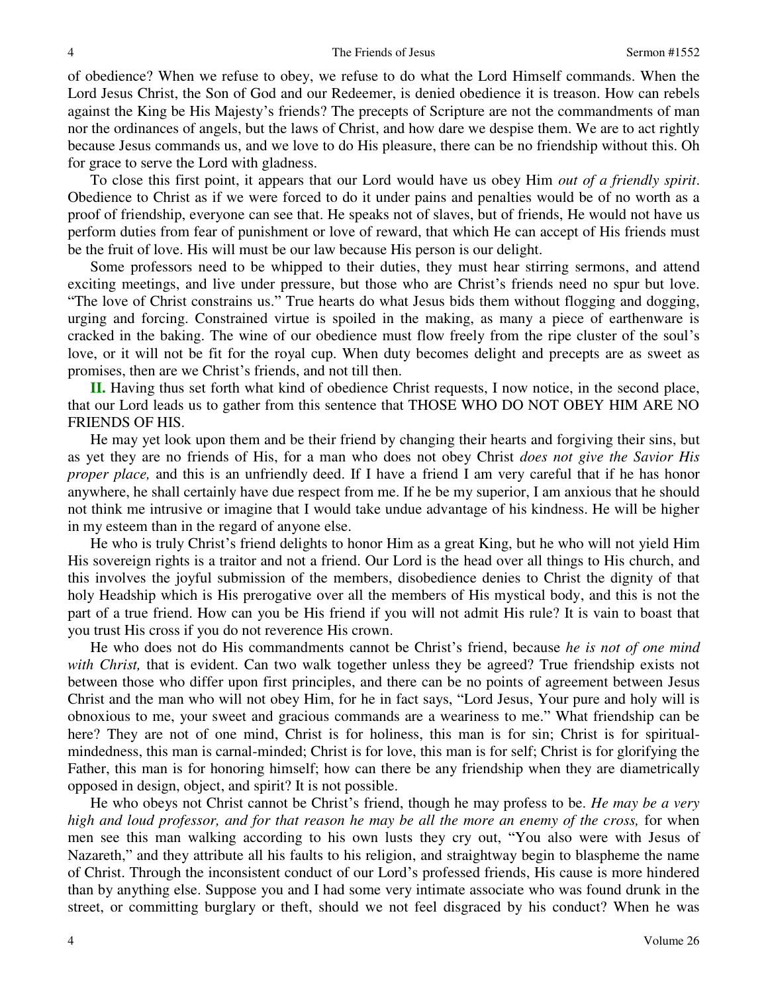of obedience? When we refuse to obey, we refuse to do what the Lord Himself commands. When the Lord Jesus Christ, the Son of God and our Redeemer, is denied obedience it is treason. How can rebels against the King be His Majesty's friends? The precepts of Scripture are not the commandments of man nor the ordinances of angels, but the laws of Christ, and how dare we despise them. We are to act rightly because Jesus commands us, and we love to do His pleasure, there can be no friendship without this. Oh for grace to serve the Lord with gladness.

 To close this first point, it appears that our Lord would have us obey Him *out of a friendly spirit*. Obedience to Christ as if we were forced to do it under pains and penalties would be of no worth as a proof of friendship, everyone can see that. He speaks not of slaves, but of friends, He would not have us perform duties from fear of punishment or love of reward, that which He can accept of His friends must be the fruit of love. His will must be our law because His person is our delight.

 Some professors need to be whipped to their duties, they must hear stirring sermons, and attend exciting meetings, and live under pressure, but those who are Christ's friends need no spur but love. "The love of Christ constrains us." True hearts do what Jesus bids them without flogging and dogging, urging and forcing. Constrained virtue is spoiled in the making, as many a piece of earthenware is cracked in the baking. The wine of our obedience must flow freely from the ripe cluster of the soul's love, or it will not be fit for the royal cup. When duty becomes delight and precepts are as sweet as promises, then are we Christ's friends, and not till then.

**II.** Having thus set forth what kind of obedience Christ requests, I now notice, in the second place, that our Lord leads us to gather from this sentence that THOSE WHO DO NOT OBEY HIM ARE NO FRIENDS OF HIS.

 He may yet look upon them and be their friend by changing their hearts and forgiving their sins, but as yet they are no friends of His, for a man who does not obey Christ *does not give the Savior His proper place,* and this is an unfriendly deed. If I have a friend I am very careful that if he has honor anywhere, he shall certainly have due respect from me. If he be my superior, I am anxious that he should not think me intrusive or imagine that I would take undue advantage of his kindness. He will be higher in my esteem than in the regard of anyone else.

 He who is truly Christ's friend delights to honor Him as a great King, but he who will not yield Him His sovereign rights is a traitor and not a friend. Our Lord is the head over all things to His church, and this involves the joyful submission of the members, disobedience denies to Christ the dignity of that holy Headship which is His prerogative over all the members of His mystical body, and this is not the part of a true friend. How can you be His friend if you will not admit His rule? It is vain to boast that you trust His cross if you do not reverence His crown.

 He who does not do His commandments cannot be Christ's friend, because *he is not of one mind with Christ,* that is evident. Can two walk together unless they be agreed? True friendship exists not between those who differ upon first principles, and there can be no points of agreement between Jesus Christ and the man who will not obey Him, for he in fact says, "Lord Jesus, Your pure and holy will is obnoxious to me, your sweet and gracious commands are a weariness to me." What friendship can be here? They are not of one mind, Christ is for holiness, this man is for sin; Christ is for spiritualmindedness, this man is carnal-minded; Christ is for love, this man is for self; Christ is for glorifying the Father, this man is for honoring himself; how can there be any friendship when they are diametrically opposed in design, object, and spirit? It is not possible.

 He who obeys not Christ cannot be Christ's friend, though he may profess to be. *He may be a very high and loud professor, and for that reason he may be all the more an enemy of the cross,* for when men see this man walking according to his own lusts they cry out, "You also were with Jesus of Nazareth," and they attribute all his faults to his religion, and straightway begin to blaspheme the name of Christ. Through the inconsistent conduct of our Lord's professed friends, His cause is more hindered than by anything else. Suppose you and I had some very intimate associate who was found drunk in the street, or committing burglary or theft, should we not feel disgraced by his conduct? When he was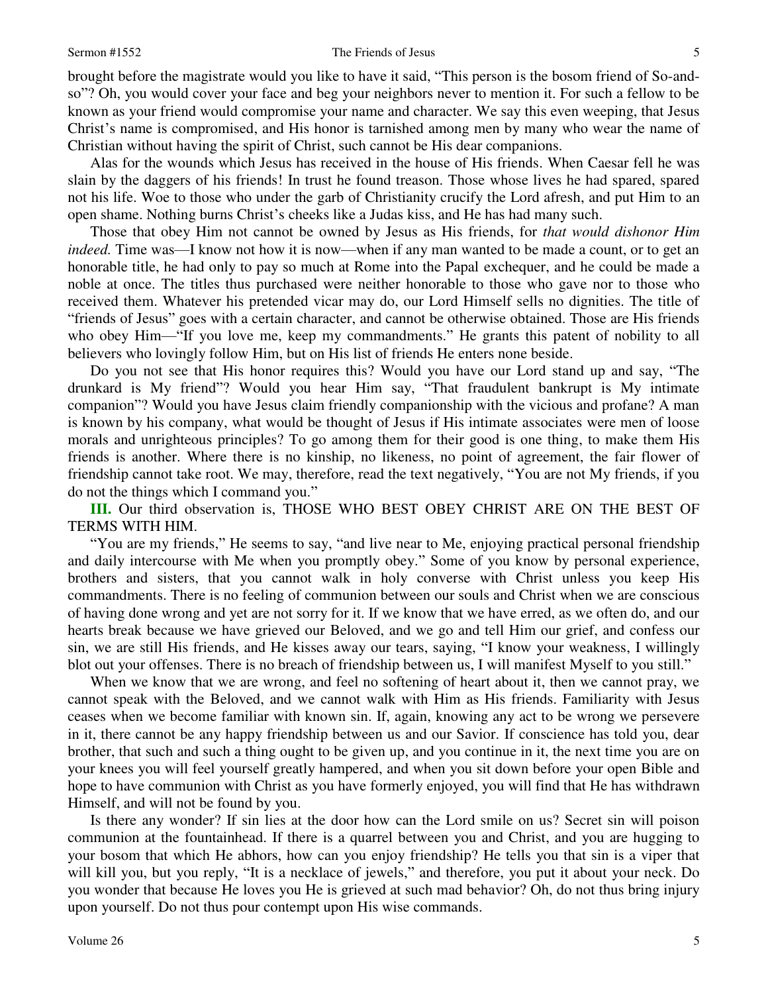#### Sermon #1552 The Friends of Jesus 5

brought before the magistrate would you like to have it said, "This person is the bosom friend of So-andso"? Oh, you would cover your face and beg your neighbors never to mention it. For such a fellow to be known as your friend would compromise your name and character. We say this even weeping, that Jesus Christ's name is compromised, and His honor is tarnished among men by many who wear the name of Christian without having the spirit of Christ, such cannot be His dear companions.

 Alas for the wounds which Jesus has received in the house of His friends. When Caesar fell he was slain by the daggers of his friends! In trust he found treason. Those whose lives he had spared, spared not his life. Woe to those who under the garb of Christianity crucify the Lord afresh, and put Him to an open shame. Nothing burns Christ's cheeks like a Judas kiss, and He has had many such.

 Those that obey Him not cannot be owned by Jesus as His friends, for *that would dishonor Him indeed.* Time was—I know not how it is now—when if any man wanted to be made a count, or to get an honorable title, he had only to pay so much at Rome into the Papal exchequer, and he could be made a noble at once. The titles thus purchased were neither honorable to those who gave nor to those who received them. Whatever his pretended vicar may do, our Lord Himself sells no dignities. The title of "friends of Jesus" goes with a certain character, and cannot be otherwise obtained. Those are His friends who obey Him—"If you love me, keep my commandments." He grants this patent of nobility to all believers who lovingly follow Him, but on His list of friends He enters none beside.

 Do you not see that His honor requires this? Would you have our Lord stand up and say, "The drunkard is My friend"? Would you hear Him say, "That fraudulent bankrupt is My intimate companion"? Would you have Jesus claim friendly companionship with the vicious and profane? A man is known by his company, what would be thought of Jesus if His intimate associates were men of loose morals and unrighteous principles? To go among them for their good is one thing, to make them His friends is another. Where there is no kinship, no likeness, no point of agreement, the fair flower of friendship cannot take root. We may, therefore, read the text negatively, "You are not My friends, if you do not the things which I command you."

**III.** Our third observation is, THOSE WHO BEST OBEY CHRIST ARE ON THE BEST OF TERMS WITH HIM.

"You are my friends," He seems to say, "and live near to Me, enjoying practical personal friendship and daily intercourse with Me when you promptly obey." Some of you know by personal experience, brothers and sisters, that you cannot walk in holy converse with Christ unless you keep His commandments. There is no feeling of communion between our souls and Christ when we are conscious of having done wrong and yet are not sorry for it. If we know that we have erred, as we often do, and our hearts break because we have grieved our Beloved, and we go and tell Him our grief, and confess our sin, we are still His friends, and He kisses away our tears, saying, "I know your weakness, I willingly blot out your offenses. There is no breach of friendship between us, I will manifest Myself to you still."

 When we know that we are wrong, and feel no softening of heart about it, then we cannot pray, we cannot speak with the Beloved, and we cannot walk with Him as His friends. Familiarity with Jesus ceases when we become familiar with known sin. If, again, knowing any act to be wrong we persevere in it, there cannot be any happy friendship between us and our Savior. If conscience has told you, dear brother, that such and such a thing ought to be given up, and you continue in it, the next time you are on your knees you will feel yourself greatly hampered, and when you sit down before your open Bible and hope to have communion with Christ as you have formerly enjoyed, you will find that He has withdrawn Himself, and will not be found by you.

 Is there any wonder? If sin lies at the door how can the Lord smile on us? Secret sin will poison communion at the fountainhead. If there is a quarrel between you and Christ, and you are hugging to your bosom that which He abhors, how can you enjoy friendship? He tells you that sin is a viper that will kill you, but you reply, "It is a necklace of jewels," and therefore, you put it about your neck. Do you wonder that because He loves you He is grieved at such mad behavior? Oh, do not thus bring injury upon yourself. Do not thus pour contempt upon His wise commands.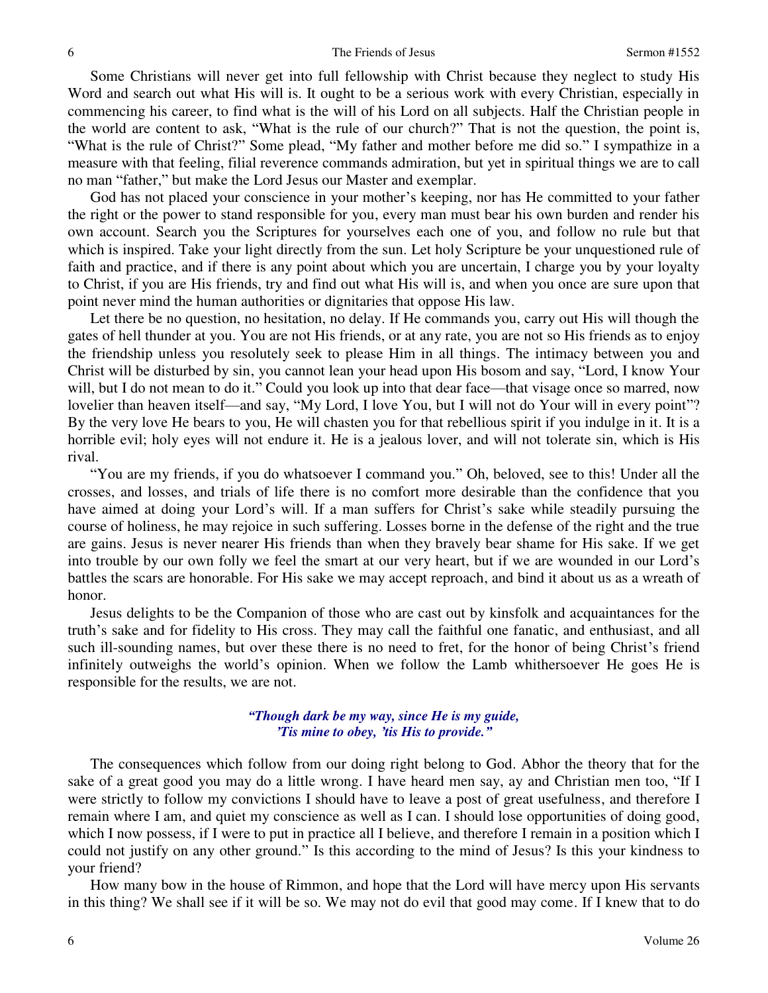Some Christians will never get into full fellowship with Christ because they neglect to study His Word and search out what His will is. It ought to be a serious work with every Christian, especially in commencing his career, to find what is the will of his Lord on all subjects. Half the Christian people in the world are content to ask, "What is the rule of our church?" That is not the question, the point is, "What is the rule of Christ?" Some plead, "My father and mother before me did so." I sympathize in a measure with that feeling, filial reverence commands admiration, but yet in spiritual things we are to call no man "father," but make the Lord Jesus our Master and exemplar.

 God has not placed your conscience in your mother's keeping, nor has He committed to your father the right or the power to stand responsible for you, every man must bear his own burden and render his own account. Search you the Scriptures for yourselves each one of you, and follow no rule but that which is inspired. Take your light directly from the sun. Let holy Scripture be your unquestioned rule of faith and practice, and if there is any point about which you are uncertain, I charge you by your loyalty to Christ, if you are His friends, try and find out what His will is, and when you once are sure upon that point never mind the human authorities or dignitaries that oppose His law.

 Let there be no question, no hesitation, no delay. If He commands you, carry out His will though the gates of hell thunder at you. You are not His friends, or at any rate, you are not so His friends as to enjoy the friendship unless you resolutely seek to please Him in all things. The intimacy between you and Christ will be disturbed by sin, you cannot lean your head upon His bosom and say, "Lord, I know Your will, but I do not mean to do it." Could you look up into that dear face—that visage once so marred, now lovelier than heaven itself—and say, "My Lord, I love You, but I will not do Your will in every point"? By the very love He bears to you, He will chasten you for that rebellious spirit if you indulge in it. It is a horrible evil; holy eyes will not endure it. He is a jealous lover, and will not tolerate sin, which is His rival.

"You are my friends, if you do whatsoever I command you." Oh, beloved, see to this! Under all the crosses, and losses, and trials of life there is no comfort more desirable than the confidence that you have aimed at doing your Lord's will. If a man suffers for Christ's sake while steadily pursuing the course of holiness, he may rejoice in such suffering. Losses borne in the defense of the right and the true are gains. Jesus is never nearer His friends than when they bravely bear shame for His sake. If we get into trouble by our own folly we feel the smart at our very heart, but if we are wounded in our Lord's battles the scars are honorable. For His sake we may accept reproach, and bind it about us as a wreath of honor.

 Jesus delights to be the Companion of those who are cast out by kinsfolk and acquaintances for the truth's sake and for fidelity to His cross. They may call the faithful one fanatic, and enthusiast, and all such ill-sounding names, but over these there is no need to fret, for the honor of being Christ's friend infinitely outweighs the world's opinion. When we follow the Lamb whithersoever He goes He is responsible for the results, we are not.

### *"Though dark be my way, since He is my guide, 'Tis mine to obey, 'tis His to provide."*

 The consequences which follow from our doing right belong to God. Abhor the theory that for the sake of a great good you may do a little wrong. I have heard men say, ay and Christian men too, "If I were strictly to follow my convictions I should have to leave a post of great usefulness, and therefore I remain where I am, and quiet my conscience as well as I can. I should lose opportunities of doing good, which I now possess, if I were to put in practice all I believe, and therefore I remain in a position which I could not justify on any other ground." Is this according to the mind of Jesus? Is this your kindness to your friend?

 How many bow in the house of Rimmon, and hope that the Lord will have mercy upon His servants in this thing? We shall see if it will be so. We may not do evil that good may come. If I knew that to do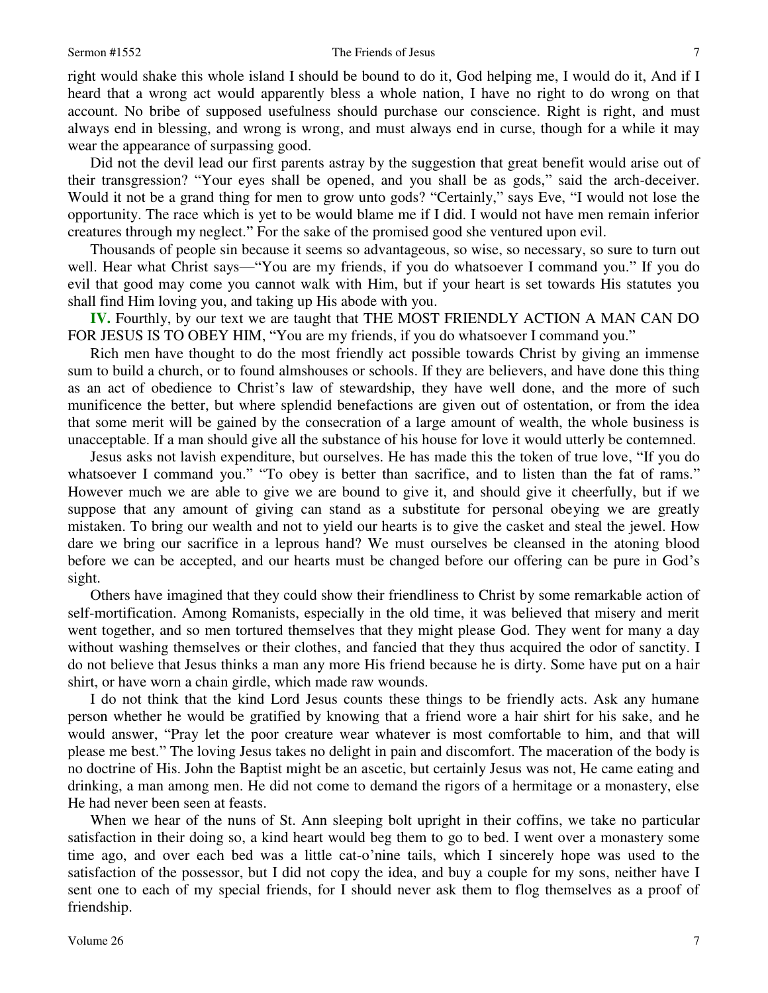#### Sermon #1552 **The Friends of Jesus** 7

right would shake this whole island I should be bound to do it, God helping me, I would do it, And if I heard that a wrong act would apparently bless a whole nation, I have no right to do wrong on that account. No bribe of supposed usefulness should purchase our conscience. Right is right, and must always end in blessing, and wrong is wrong, and must always end in curse, though for a while it may wear the appearance of surpassing good.

 Did not the devil lead our first parents astray by the suggestion that great benefit would arise out of their transgression? "Your eyes shall be opened, and you shall be as gods," said the arch-deceiver. Would it not be a grand thing for men to grow unto gods? "Certainly," says Eve, "I would not lose the opportunity. The race which is yet to be would blame me if I did. I would not have men remain inferior creatures through my neglect." For the sake of the promised good she ventured upon evil.

 Thousands of people sin because it seems so advantageous, so wise, so necessary, so sure to turn out well. Hear what Christ says—"You are my friends, if you do whatsoever I command you." If you do evil that good may come you cannot walk with Him, but if your heart is set towards His statutes you shall find Him loving you, and taking up His abode with you.

**IV.** Fourthly, by our text we are taught that THE MOST FRIENDLY ACTION A MAN CAN DO FOR JESUS IS TO OBEY HIM, "You are my friends, if you do whatsoever I command you."

 Rich men have thought to do the most friendly act possible towards Christ by giving an immense sum to build a church, or to found almshouses or schools. If they are believers, and have done this thing as an act of obedience to Christ's law of stewardship, they have well done, and the more of such munificence the better, but where splendid benefactions are given out of ostentation, or from the idea that some merit will be gained by the consecration of a large amount of wealth, the whole business is unacceptable. If a man should give all the substance of his house for love it would utterly be contemned.

 Jesus asks not lavish expenditure, but ourselves. He has made this the token of true love, "If you do whatsoever I command you." "To obey is better than sacrifice, and to listen than the fat of rams." However much we are able to give we are bound to give it, and should give it cheerfully, but if we suppose that any amount of giving can stand as a substitute for personal obeying we are greatly mistaken. To bring our wealth and not to yield our hearts is to give the casket and steal the jewel. How dare we bring our sacrifice in a leprous hand? We must ourselves be cleansed in the atoning blood before we can be accepted, and our hearts must be changed before our offering can be pure in God's sight.

 Others have imagined that they could show their friendliness to Christ by some remarkable action of self-mortification. Among Romanists, especially in the old time, it was believed that misery and merit went together, and so men tortured themselves that they might please God. They went for many a day without washing themselves or their clothes, and fancied that they thus acquired the odor of sanctity. I do not believe that Jesus thinks a man any more His friend because he is dirty. Some have put on a hair shirt, or have worn a chain girdle, which made raw wounds.

 I do not think that the kind Lord Jesus counts these things to be friendly acts. Ask any humane person whether he would be gratified by knowing that a friend wore a hair shirt for his sake, and he would answer, "Pray let the poor creature wear whatever is most comfortable to him, and that will please me best." The loving Jesus takes no delight in pain and discomfort. The maceration of the body is no doctrine of His. John the Baptist might be an ascetic, but certainly Jesus was not, He came eating and drinking, a man among men. He did not come to demand the rigors of a hermitage or a monastery, else He had never been seen at feasts.

 When we hear of the nuns of St. Ann sleeping bolt upright in their coffins, we take no particular satisfaction in their doing so, a kind heart would beg them to go to bed. I went over a monastery some time ago, and over each bed was a little cat-o'nine tails, which I sincerely hope was used to the satisfaction of the possessor, but I did not copy the idea, and buy a couple for my sons, neither have I sent one to each of my special friends, for I should never ask them to flog themselves as a proof of friendship.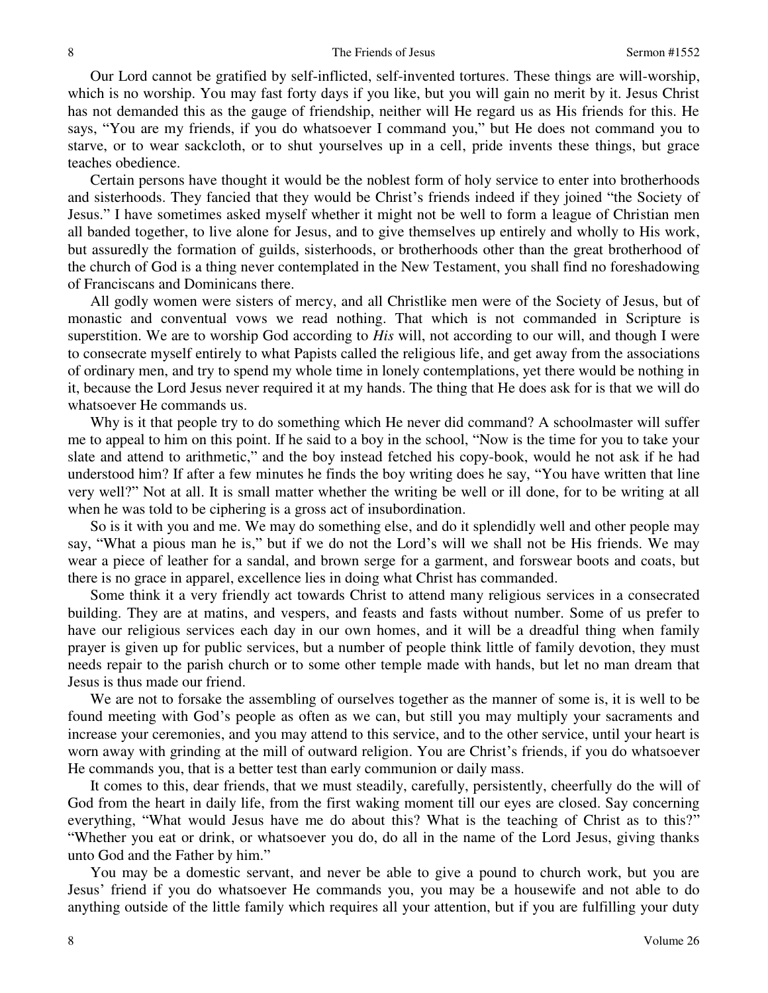Our Lord cannot be gratified by self-inflicted, self-invented tortures. These things are will-worship, which is no worship. You may fast forty days if you like, but you will gain no merit by it. Jesus Christ has not demanded this as the gauge of friendship, neither will He regard us as His friends for this. He says, "You are my friends, if you do whatsoever I command you," but He does not command you to starve, or to wear sackcloth, or to shut yourselves up in a cell, pride invents these things, but grace teaches obedience.

 Certain persons have thought it would be the noblest form of holy service to enter into brotherhoods and sisterhoods. They fancied that they would be Christ's friends indeed if they joined "the Society of Jesus." I have sometimes asked myself whether it might not be well to form a league of Christian men all banded together, to live alone for Jesus, and to give themselves up entirely and wholly to His work, but assuredly the formation of guilds, sisterhoods, or brotherhoods other than the great brotherhood of the church of God is a thing never contemplated in the New Testament, you shall find no foreshadowing of Franciscans and Dominicans there.

 All godly women were sisters of mercy, and all Christlike men were of the Society of Jesus, but of monastic and conventual vows we read nothing. That which is not commanded in Scripture is superstition. We are to worship God according to *His* will, not according to our will, and though I were to consecrate myself entirely to what Papists called the religious life, and get away from the associations of ordinary men, and try to spend my whole time in lonely contemplations, yet there would be nothing in it, because the Lord Jesus never required it at my hands. The thing that He does ask for is that we will do whatsoever He commands us.

 Why is it that people try to do something which He never did command? A schoolmaster will suffer me to appeal to him on this point. If he said to a boy in the school, "Now is the time for you to take your slate and attend to arithmetic," and the boy instead fetched his copy-book, would he not ask if he had understood him? If after a few minutes he finds the boy writing does he say, "You have written that line very well?" Not at all. It is small matter whether the writing be well or ill done, for to be writing at all when he was told to be ciphering is a gross act of insubordination.

 So is it with you and me. We may do something else, and do it splendidly well and other people may say, "What a pious man he is," but if we do not the Lord's will we shall not be His friends. We may wear a piece of leather for a sandal, and brown serge for a garment, and forswear boots and coats, but there is no grace in apparel, excellence lies in doing what Christ has commanded.

 Some think it a very friendly act towards Christ to attend many religious services in a consecrated building. They are at matins, and vespers, and feasts and fasts without number. Some of us prefer to have our religious services each day in our own homes, and it will be a dreadful thing when family prayer is given up for public services, but a number of people think little of family devotion, they must needs repair to the parish church or to some other temple made with hands, but let no man dream that Jesus is thus made our friend.

 We are not to forsake the assembling of ourselves together as the manner of some is, it is well to be found meeting with God's people as often as we can, but still you may multiply your sacraments and increase your ceremonies, and you may attend to this service, and to the other service, until your heart is worn away with grinding at the mill of outward religion. You are Christ's friends, if you do whatsoever He commands you, that is a better test than early communion or daily mass.

 It comes to this, dear friends, that we must steadily, carefully, persistently, cheerfully do the will of God from the heart in daily life, from the first waking moment till our eyes are closed. Say concerning everything, "What would Jesus have me do about this? What is the teaching of Christ as to this?" "Whether you eat or drink, or whatsoever you do, do all in the name of the Lord Jesus, giving thanks unto God and the Father by him."

 You may be a domestic servant, and never be able to give a pound to church work, but you are Jesus' friend if you do whatsoever He commands you, you may be a housewife and not able to do anything outside of the little family which requires all your attention, but if you are fulfilling your duty